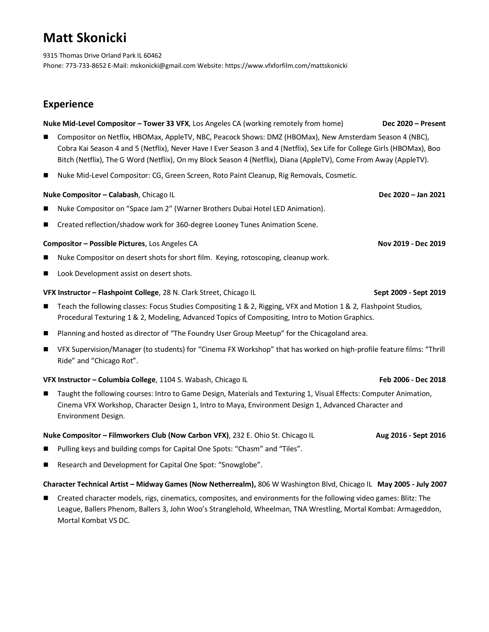# **Matt Skonicki**

9315 Thomas Drive Orland Park IL 60462 Phone: 773-733-8652 E-Mail: mskonicki@gmail.com Website: https://www.vfxforfilm.com/mattskonicki

# **Experience**

#### **Nuke Mid-Level Compositor – Tower 33 VFX**, Los Angeles CA (working remotely from home) **Dec 2020 – Present**

- Compositor on Netflix, HBOMax, AppleTV, NBC, Peacock Shows: DMZ (HBOMax), New Amsterdam Season 4 (NBC), Cobra Kai Season 4 and 5 (Netflix), Never Have I Ever Season 3 and 4 (Netflix), Sex Life for College Girls (HBOMax), Boo Bitch (Netflix), The G Word (Netflix), On my Block Season 4 (Netflix), Diana (AppleTV), Come From Away (AppleTV).
- ◼ Nuke Mid-Level Compositor: CG, Green Screen, Roto Paint Cleanup, Rig Removals, Cosmetic.

### **Nuke Compositor** – Calabash, Chicago IL **Dec** 2020 **– Dec** 2020 – Jan 2021

- Nuke Compositor on "Space Jam 2" (Warner Brothers Dubai Hotel LED Animation).
- ◼ Created reflection/shadow work for 360-degree Looney Tunes Animation Scene.

#### **Compositor** – **Possible Pictures**, Los Angeles CA **Nova** *Letter* **2019 - Dec 2019** - Dec 2019

- Nuke Compositor on desert shots for short film. Keying, rotoscoping, cleanup work.
- Look Development assist on desert shots.

#### **VFX Instructor – Flashpoint College**, 28 N. Clark Street, Chicago IL **Sept 2009 - Sept 2019**

- Teach the following classes: Focus Studies Compositing 1 & 2, Rigging, VFX and Motion 1 & 2, Flashpoint Studios, Procedural Texturing 1 & 2, Modeling, Advanced Topics of Compositing, Intro to Motion Graphics.
- Planning and hosted as director of "The Foundry User Group Meetup" for the Chicagoland area.
- ◼ VFX Supervision/Manager (to students) for "Cinema FX Workshop" that has worked on high-profile feature films: "Thrill Ride" and "Chicago Rot".

#### **VFX Instructor – Columbia College**, 1104 S. Wabash, Chicago IL **Feb 2006 - Dec 2018**

Taught the following courses: Intro to Game Design, Materials and Texturing 1, Visual Effects: Computer Animation, Cinema VFX Workshop, Character Design 1, Intro to Maya, Environment Design 1, Advanced Character and Environment Design.

#### **Nuke Compositor – Filmworkers Club (Now Carbon VFX)**, 232 E. Ohio St. Chicago IL **Aug 2016 - Sept 2016**

- Pulling keys and building comps for Capital One Spots: "Chasm" and "Tiles".
- Research and Development for Capital One Spot: "Snowglobe".

#### **Character Technical Artist – Midway Games (Now Netherrealm),** 806 W Washington Blvd, Chicago IL **May 2005 - July 2007**

◼ Created character models, rigs, cinematics, composites, and environments for the following video games: Blitz: The League, Ballers Phenom, Ballers 3, John Woo's Stranglehold, Wheelman, TNA Wrestling, Mortal Kombat: Armageddon, Mortal Kombat VS DC.